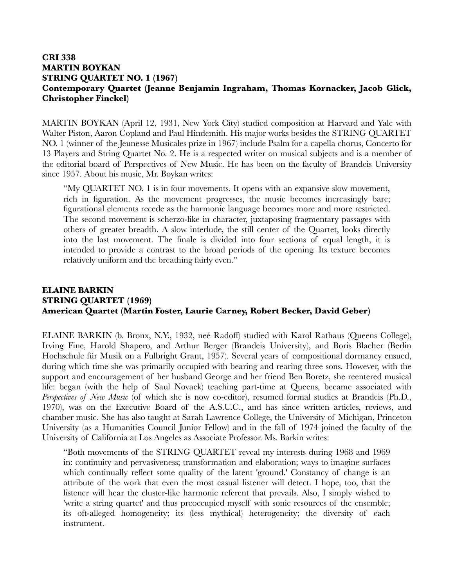## **CRI 338 MARTIN BOYKAN STRING QUARTET NO. 1 (1967) Contemporary Quartet (Jeanne Benjamin Ingraham, Thomas Kornacker, Jacob Glick, Christopher Finckel)**

MARTIN BOYKAN (April 12, 1931, New York City) studied composition at Harvard and Yale with Walter Piston, Aaron Copland and Paul Hindemith. His major works besides the STRING QUARTET NO. 1 (winner of the Jeunesse Musicales prize in 1967) include Psalm for a capella chorus, Concerto for 13 Players and String Quartet No. 2. He is a respected writer on musical subjects and is a member of the editorial board of Perspectives of New Music. He has been on the faculty of Brandeis University since 1957. About his music, Mr. Boykan writes:

"My QUARTET NO. 1 is in four movements. It opens with an expansive slow movement, rich in figuration. As the movement progresses, the music becomes increasingly bare; figurational elements recede as the harmonic language becomes more and more restricted. The second movement is scherzo-like in character, juxtaposing fragmentary passages with others of greater breadth. A slow interlude, the still center of the Quartet, looks directly into the last movement. The finale is divided into four sections of equal length, it is intended to provide a contrast to the broad periods of the opening. Its texture becomes relatively uniform and the breathing fairly even."

## **ELAINE BARKIN STRING QUARTET (1969) American Quartet (Martin Foster, Laurie Carney, Robert Becker, David Geber)**

ELAINE BARKIN (b. Bronx, N.Y., 1932, neé Radoff) studied with Karol Rathaus (Queens College), Irving Fine, Harold Shapero, and Arthur Berger (Brandeis University), and Boris Blacher (Berlin Hochschule für Musik on a Fulbright Grant, 1957). Several years of compositional dormancy ensued, during which time she was primarily occupied with bearing and rearing three sons. However, with the support and encouragement of her husband George and her friend Ben Boretz, she reentered musical life: began (with the help of Saul Novack) teaching part-time at Queens, became associated with *Perspectives of New Music* (of which she is now co-editor), resumed formal studies at Brandeis (Ph.D., 1970), was on the Executive Board of the A.S.U.C., and has since written articles, reviews, and chamber music. She has also taught at Sarah Lawrence College, the University of Michigan, Princeton University (as a Humanities Council Junior Fellow) and in the fall of 1974 joined the faculty of the University of California at Los Angeles as Associate Professor. Ms. Barkin writes:

"Both movements of the STRING QUARTET reveal my interests during 1968 and 1969 in: continuity and pervasiveness; transformation and elaboration; ways to imagine surfaces which continually reflect some quality of the latent 'ground.' Constancy of change is an attribute of the work that even the most casual listener will detect. I hope, too, that the listener will hear the cluster-like harmonic referent that prevails. Also, I simply wished to 'write a string quartet' and thus preoccupied myself with sonic resources of the ensemble; its oft-alleged homogeneity; its (less mythical) heterogeneity; the diversity of each instrument.